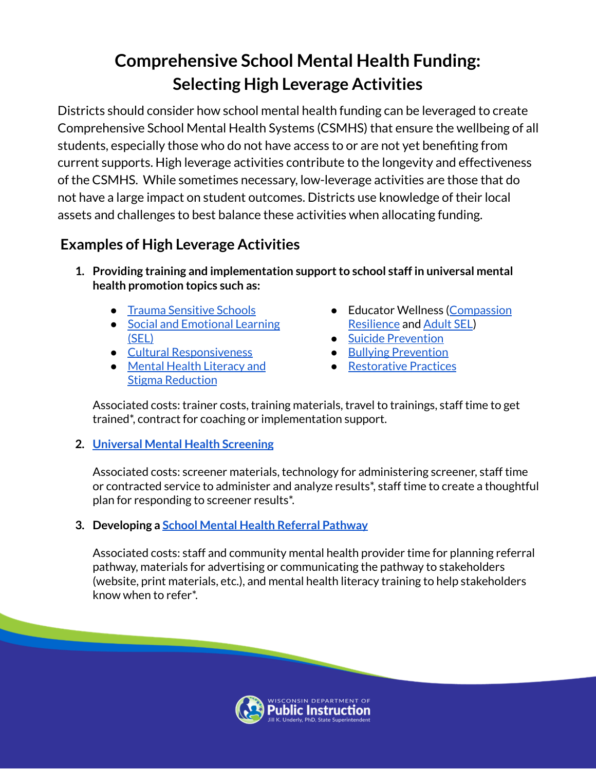## **Comprehensive School Mental Health Funding: Selecting High Leverage Activities**

Districts should consider how school mental health funding can be leveraged to create Comprehensive School Mental Health Systems (CSMHS) that ensure the wellbeing of all students, especially those who do not have access to or are not yet benefiting from current supports. High leverage activities contribute to the longevity and effectiveness of the CSMHS. While sometimes necessary, low-leverage activities are those that do not have a large impact on student outcomes. Districts use knowledge of their local assets and challenges to best balance these activities when allocating funding.

## **Examples of High Leverage Activities**

- **1. Providing training and implementation supportto school staff in universal mental health promotion topics such as:**
	- Trauma [Sensitive](https://dpi.wi.gov/sspw/mental-health/trauma) Schools
	- Social and [Emotional](https://dpi.wi.gov/sspw/mental-health/social-emotional-learning) Learning [\(SEL\)](https://dpi.wi.gov/sspw/mental-health/social-emotional-learning)
	- Cultural [Responsiveness](https://dpi.wi.gov/sspw/mental-health/framework/foundations/culturally-responsive-practices)
	- Mental Health [Literacy](https://dpi.wi.gov/sspw/mental-health/framework/foundations/staff) and Stigma [Reduction](https://dpi.wi.gov/sspw/mental-health/framework/foundations/staff)
- Educator Wellness ([Compassion](https://compassionresiliencetoolkit.org/) [Resilience](https://compassionresiliencetoolkit.org/) and [Adult](https://dpi.wi.gov/sspw/mental-health/social-emotional-learning) SEL)
- Suicide [Prevention](https://dpi.wi.gov/sspw/mental-health/youth-suicide-prevention/training)
- Bullying [Prevention](https://dpi.wi.gov/sspw/safe-schools/bullying-prevention)
- [Restorative](https://www.wishschools.org/resources/restorativepractices.cfm) Practices

Associated costs: trainer costs, training materials, travel to trainings, staff time to get trained\*, contract for coaching or implementation support.

**2. Universal Mental Health [Screening](https://dpi.wi.gov/sspw/mental-health/mental/behavioral-health-screening)**

Associated costs: screener materials, technology for administering screener, staff time or contracted service to administer and analyze results\*, staff time to create a thoughtful plan for responding to screener results\*.

**3. Developing a School Mental Health Referral [Pathway](https://dpi.wi.gov/sspw/mental-health/framework/referral-pathways)**

Associated costs: staff and community mental health provider time for planning referral pathway, materials for advertising or communicating the pathway to stakeholders (website, print materials, etc.), and mental health literacy training to help stakeholders know when to refer\*.